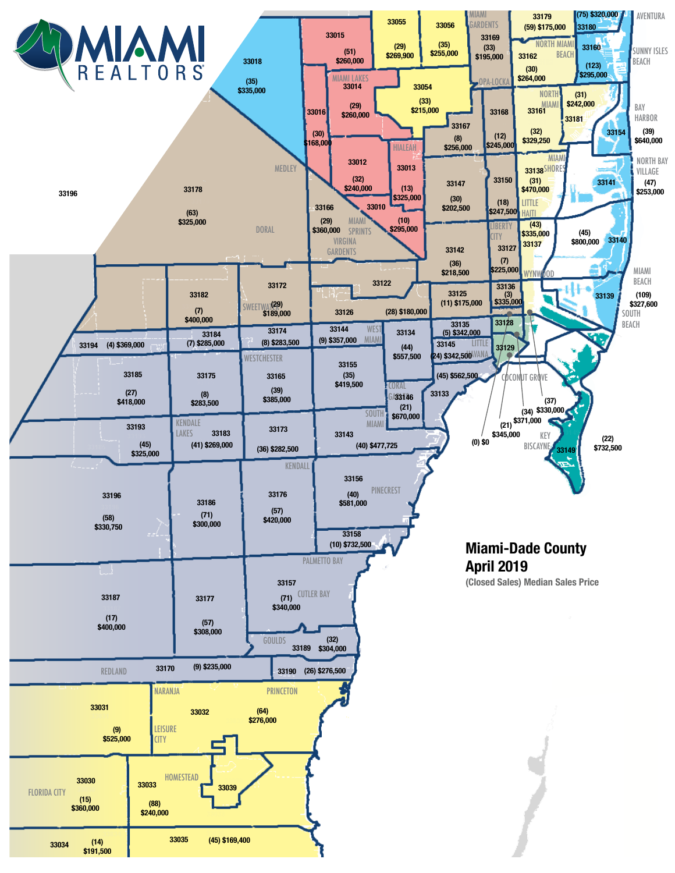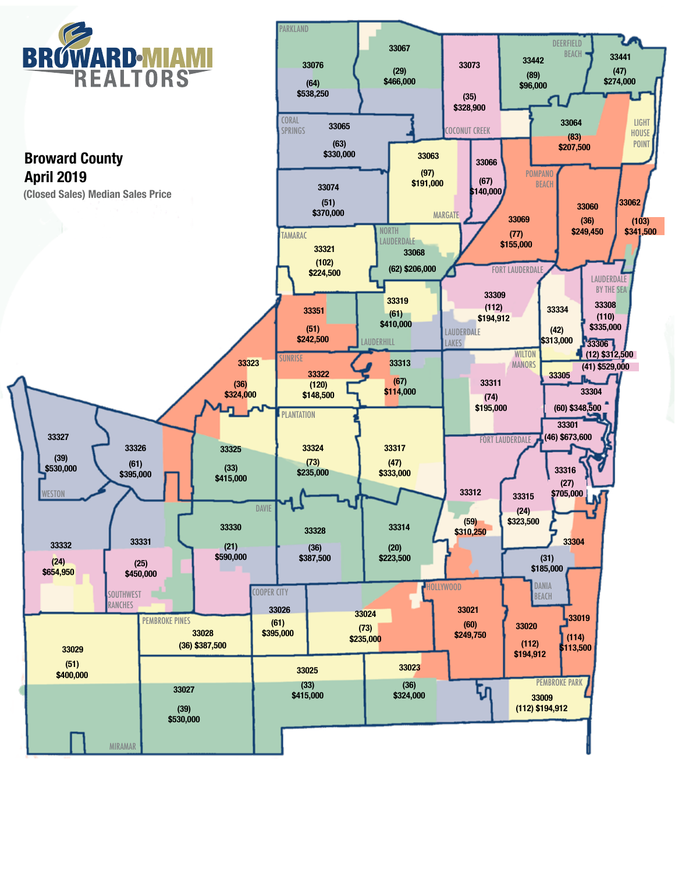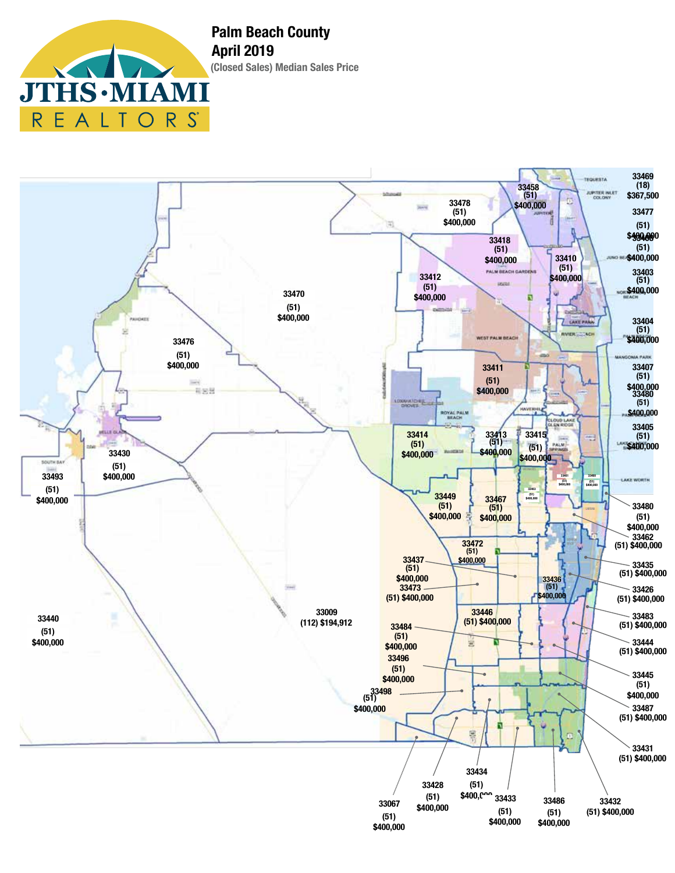$\textbf{IS}\cdot\textbf{M}$ EALT R  $\mathcal{S}$  $R_{\parallel}$  $\bigcirc$ 

**(Closed Sales) Median Sales Price Palm Beach County April 2019**